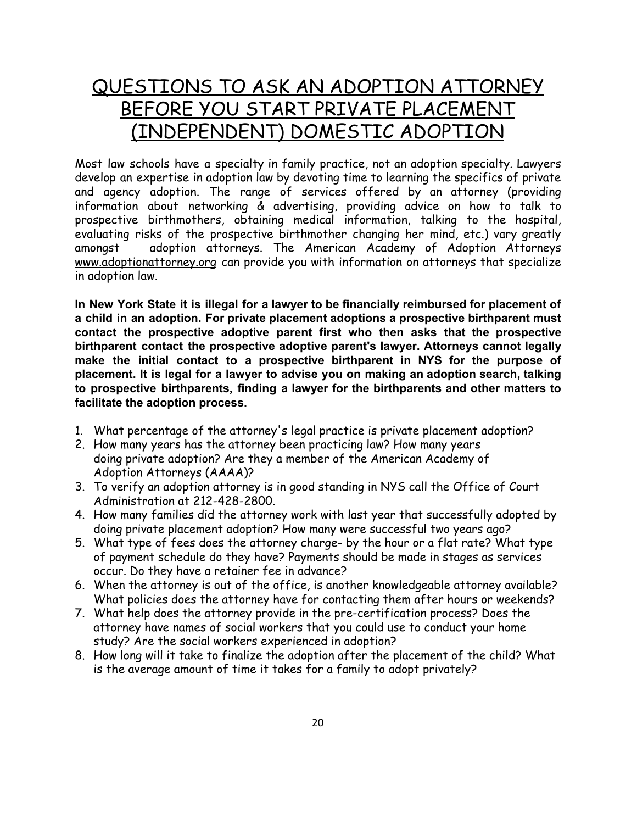## QUESTIONS TO ASK AN ADOPTION ATTORNEY BEFORE YOU START PRIVATE PLACEMENT (INDEPENDENT) DOMESTIC ADOPTION

Most law schools have a specialty in family practice, not an adoption specialty. Lawyers develop an expertise in adoption law by devoting time to learning the specifics of private and agency adoption. The range of services offered by an attorney (providing information about networking & advertising, providing advice on how to talk to prospective birthmothers, obtaining medical information, talking to the hospital, evaluating risks of the prospective birthmother changing her mind, etc.) vary greatly amongst adoption attorneys. The American Academy of Adoption Attorneys www.adoptionattorney.org can provide you with information on attorneys that specialize in adoption law.

**In New York State it is illegal for a lawyer to be financially reimbursed for placement of a child in an adoption. For private placement adoptions a prospective birthparent must contact the prospective adoptive parent first who then asks that the prospective birthparent contact the prospective adoptive parent's lawyer. Attorneys cannot legally make the initial contact to a prospective birthparent in NYS for the purpose of placement. It is legal for a lawyer to advise you on making an adoption search, talking to prospective birthparents, finding a lawyer for the birthparents and other matters to facilitate the adoption process.**

- 1. What percentage of the attorney's legal practice is private placement adoption?
- 2. How many years has the attorney been practicing law? How many years doing private adoption? Are they a member of the American Academy of Adoption Attorneys (AAAA)?
- 3. To verify an adoption attorney is in good standing in NYS call the Office of Court Administration at 212-428-2800.
- 4. How many families did the attorney work with last year that successfully adopted by doing private placement adoption? How many were successful two years ago?
- 5. What type of fees does the attorney charge- by the hour or a flat rate? What type of payment schedule do they have? Payments should be made in stages as services occur. Do they have a retainer fee in advance?
- 6. When the attorney is out of the office, is another knowledgeable attorney available? What policies does the attorney have for contacting them after hours or weekends?
- 7. What help does the attorney provide in the pre-certification process? Does the attorney have names of social workers that you could use to conduct your home study? Are the social workers experienced in adoption?
- 8. How long will it take to finalize the adoption after the placement of the child? What is the average amount of time it takes for a family to adopt privately?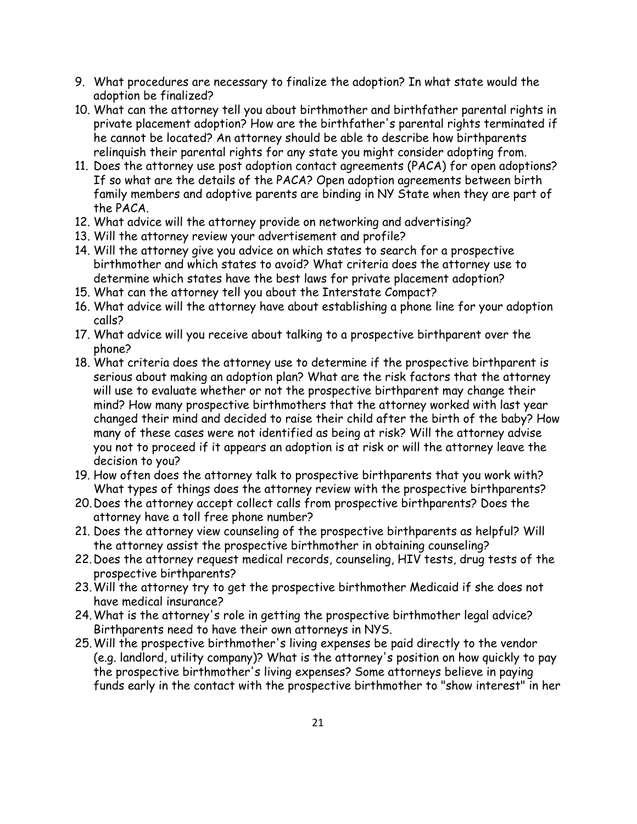- 9. What procedures are necessary to finalize the adoption? In what state would the adoption be finalized?
- 10. What can the attorney tell you about birthmother and birthfather parental rights in private placement adoption? How are the birthfather's parental rights terminated if he cannot be located? An attorney should be able to describe how birthparents relinquish their parental rights for any state you might consider adopting from.
- 11. Does the attorney use post adoption contact agreements (PACA) for open adoptions? If so what are the details of the PACA? Open adoption agreements between birth family members and adoptive parents are binding in NY State when they are part of the PACA.
- 12. What advice will the attorney provide on networking and advertising?
- 13. Will the attorney review your advertisement and profile?
- 14. Will the attorney give you advice on which states to search for a prospective birthmother and which states to avoid? What criteria does the attorney use to determine which states have the best laws for private placement adoption?
- 15. What can the attorney tell you about the Interstate Compact?
- 16. What advice will the attorney have about establishing a phone line for your adoption calls?
- 17. What advice will you receive about talking to a prospective birthparent over the phone?
- 18. What criteria does the attorney use to determine if the prospective birthparent is serious about making an adoption plan? What are the risk factors that the attorney will use to evaluate whether or not the prospective birthparent may change their mind? How many prospective birthmothers that the attorney worked with last year changed their mind and decided to raise their child after the birth of the baby? How many of these cases were not identified as being at risk? Will the attorney advise you not to proceed if it appears an adoption is at risk or will the attorney leave the decision to you?
- 19. How often does the attorney talk to prospective birthparents that you work with? What types of things does the attorney review with the prospective birthparents?
- 20.Does the attorney accept collect calls from prospective birthparents? Does the attorney have a toll free phone number?
- 21. Does the attorney view counseling of the prospective birthparents as helpful? Will the attorney assist the prospective birthmother in obtaining counseling?
- 22.Does the attorney request medical records, counseling, HIV tests, drug tests of the prospective birthparents?
- 23.Will the attorney try to get the prospective birthmother Medicaid if she does not have medical insurance?
- 24.What is the attorney's role in getting the prospective birthmother legal advice? Birthparents need to have their own attorneys in NYS.
- 25.Will the prospective birthmother's living expenses be paid directly to the vendor (e.g. landlord, utility company)? What is the attorney's position on how quickly to pay the prospective birthmother's living expenses? Some attorneys believe in paying funds early in the contact with the prospective birthmother to "show interest" in her